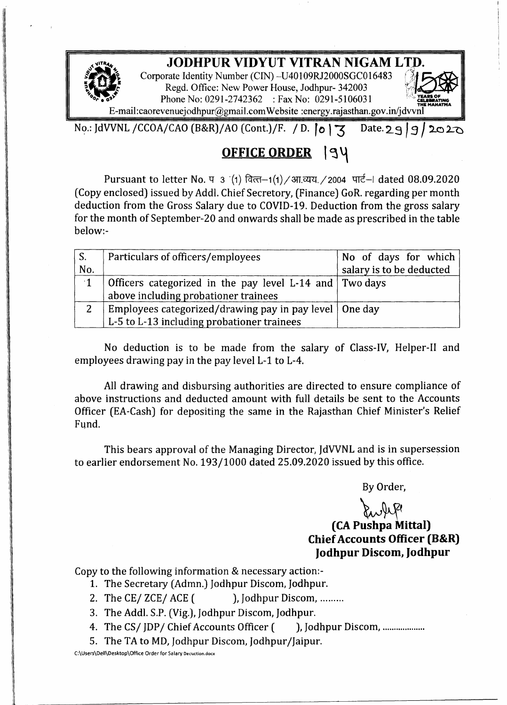## **JODHPUR VIDYUT VITRAN NIGAM <sup>L</sup>**rn

Corporate Identity Number (CIN) -U40109RJ2000SGC016483 Regd. Office: New Power House, Jodhpur- 342003 Phone No: 0291-2742362 : Fax No: 0291-5106031

[E-mail:caorevenuejodhpur@gmail.com](mailto:E-mail:caorevenuejodhpur@gmail.com) Website :energy.rajasthan.gov.in/jdvvn

No.: JdVVNL /CCOA/CAO (B&R)/AO (Cont.)/F. / D. **|0** | 3 Date. 29 9 2020

# **OFFICE ORDER <sup>1</sup> <sup>~</sup> '-\**

Pursuant to letter No. प 3 (1) वित्त-1(1) / आ.व्यय. / 2004 पार्ट-। dated 08.09.2020 (Copy enclosed) issued by Addl, Chief Secretory, (Finance) GoR. regarding per month deduction from the Gross Salary due to COVID-19. Deduction from the gross salary for the month of September-20 and onwards shall be made as prescribed in the table below:-

| $\mathsf{S}$ . | Particulars of officers/employees                        | No of days for which     |
|----------------|----------------------------------------------------------|--------------------------|
| No.            |                                                          | salary is to be deducted |
| $\cdot$ 1      | Officers categorized in the pay level L-14 and Two days  |                          |
|                | above including probationer trainees                     |                          |
|                | Employees categorized/drawing pay in pay level   One day |                          |
|                | L-5 to L-13 including probationer trainees               |                          |

No deduction is to be made from the salary of Class-IV, Helper-II and employees drawing pay in the pay level L-1 to L-4.

All drawing and disbursing authorities are directed to ensure compliance of above instructions and deducted amount with full details be sent to the Accounts Officer (EA-Cash) for depositing the same in the Rajasthan Chief Minister's Relief Fund.

This bears approval of the Managing Director, JdWNL and is in supersession to earlier endorsement No. 193/1000 dated 25.09.2020 issued by this office.

By Order,

### ~~ **(CA Pushpa Mittal) Chief Accounts Officer (B&R) Jodhpur Discom, Jodhpur**

Copy to the following information & necessary action:-

- 1. The Secretary (Admn.) Jodhpur Discom, Jodhpur.
- 2. The CE/  $ZCE/$  ACE (), Jodhpur Discom, ........
- 3. The Add!. S.P. (Vig.), Jodhpur Discom, Jodhpur.
- 4. The CS/IDP/ Chief Accounts Officer (assembly Discom, .........................
- 5. The TA to MD, Jodhpur Discom, Jodhpur/Jaipur.

C:\Users\Dell\Desktop\Office Order for Salary Decuction.docx